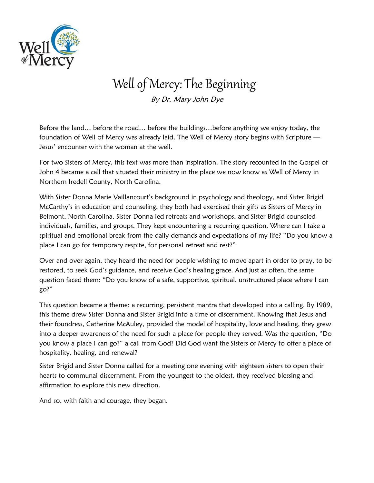

## Well of Mercy: The Beginning

By Dr. Mary John Dye

Before the land… before the road… before the buildings…before anything we enjoy today, the foundation of Well of Mercy was already laid. The Well of Mercy story begins with Scripture — Jesus' encounter with the woman at the well.

For two Sisters of Mercy, this text was more than inspiration. The story recounted in the Gospel of John 4 became a call that situated their ministry in the place we now know as Well of Mercy in Northern Iredell County, North Carolina.

With Sister Donna Marie Vaillancourt's background in psychology and theology, and Sister Brigid McCarthy's in education and counseling, they both had exercised their gifts as Sisters of Mercy in Belmont, North Carolina. Sister Donna led retreats and workshops, and Sister Brigid counseled individuals, families, and groups. They kept encountering a recurring question. Where can I take a spiritual and emotional break from the daily demands and expectations of my life? "Do you know a place I can go for temporary respite, for personal retreat and rest?"

Over and over again, they heard the need for people wishing to move apart in order to pray, to be restored, to seek God's guidance, and receive God's healing grace. And just as often, the same question faced them: "Do you know of a safe, supportive, spiritual, unstructured place where I can go?"

This question became a theme: a recurring, persistent mantra that developed into a calling. By 1989, this theme drew Sister Donna and Sister Brigid into a time of discernment. Knowing that Jesus and their foundress, Catherine McAuley, provided the model of hospitality, love and healing, they grew into a deeper awareness of the need for such a place for people they served. Was the question, "Do you know a place I can go?" a call from God? Did God want the Sisters of Mercy to offer a place of hospitality, healing, and renewal?

Sister Brigid and Sister Donna called for a meeting one evening with eighteen sisters to open their hearts to communal discernment. From the youngest to the oldest, they received blessing and affirmation to explore this new direction.

And so, with faith and courage, they began.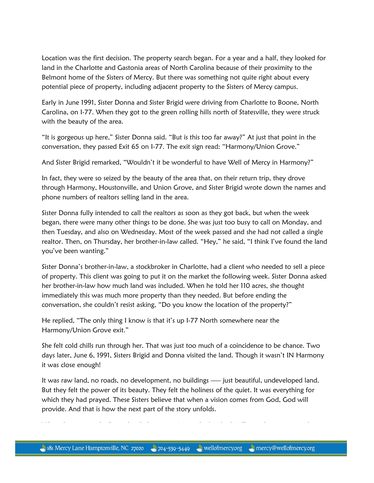Location was the first decision. The property search began. For a year and a half, they looked for land in the Charlotte and Gastonia areas of North Carolina because of their proximity to the Belmont home of the Sisters of Mercy. But there was something not quite right about every potential piece of property, including adjacent property to the Sisters of Mercy campus.

Early in June 1991, Sister Donna and Sister Brigid were driving from Charlotte to Boone, North Carolina, on I-77. When they got to the green rolling hills north of Statesville, they were struck with the beauty of the area.

"It is gorgeous up here," Sister Donna said. "But is this too far away?" At just that point in the conversation, they passed Exit 65 on I-77. The exit sign read: "Harmony/Union Grove."

And Sister Brigid remarked, "Wouldn't it be wonderful to have Well of Mercy in Harmony?"

In fact, they were so seized by the beauty of the area that, on their return trip, they drove through Harmony, Houstonville, and Union Grove, and Sister Brigid wrote down the names and phone numbers of realtors selling land in the area.

Sister Donna fully intended to call the realtors as soon as they got back, but when the week began, there were many other things to be done. She was just too busy to call on Monday, and then Tuesday, and also on Wednesday. Most of the week passed and she had not called a single realtor. Then, on Thursday, her brother-in-law called. "Hey," he said, "I think I've found the land you've been wanting."

Sister Donna's brother-in-law, a stockbroker in Charlotte, had a client who needed to sell a piece of property. This client was going to put it on the market the following week. Sister Donna asked her brother-in-law how much land was included. When he told her 110 acres, she thought immediately this was much more property than they needed. But before ending the conversation, she couldn't resist asking, "Do you know the location of the property?"

He replied, "The only thing I know is that it's up I-77 North somewhere near the Harmony/Union Grove exit."

She felt cold chills run through her. That was just too much of a coincidence to be chance. Two days later, June 6, 1991, Sisters Brigid and Donna visited the land. Though it wasn't IN Harmony it was close enough!

It was raw land, no roads, no development, no buildings — just beautiful, undeveloped land. But they felt the power of its beauty. They felt the holiness of the quiet. It was everything for which they had prayed. These Sisters believe that when a vision comes from God, God will provide. And that is how the next part of the story unfolds.

When they returned, after a detailed presentation to the Leadership Team, the team agreed to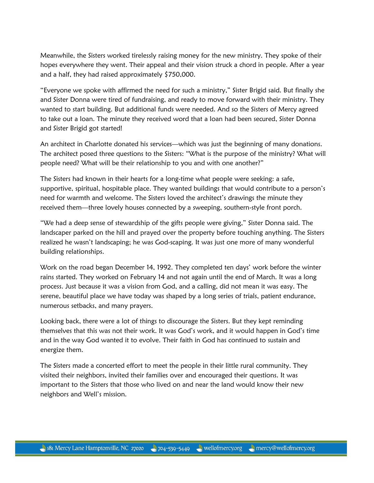Meanwhile, the Sisters worked tirelessly raising money for the new ministry. They spoke of their hopes everywhere they went. Their appeal and their vision struck a chord in people. After a year and a half, they had raised approximately \$750,000.

"Everyone we spoke with affirmed the need for such a ministry," Sister Brigid said. But finally she and Sister Donna were tired of fundraising, and ready to move forward with their ministry. They wanted to start building. But additional funds were needed. And so the Sisters of Mercy agreed to take out a loan. The minute they received word that a loan had been secured, Sister Donna and Sister Brigid got started!

An architect in Charlotte donated his services—which was just the beginning of many donations. The architect posed three questions to the Sisters: "What is the purpose of the ministry? What will people need? What will be their relationship to you and with one another?"

The Sisters had known in their hearts for a long-time what people were seeking: a safe, supportive, spiritual, hospitable place. They wanted buildings that would contribute to a person's need for warmth and welcome. The Sisters loved the architect's drawings the minute they received them—three lovely houses connected by a sweeping, southern-style front porch.

"We had a deep sense of stewardship of the gifts people were giving," Sister Donna said. The landscaper parked on the hill and prayed over the property before touching anything. The Sisters realized he wasn't landscaping; he was God-scaping. It was just one more of many wonderful building relationships.

Work on the road began December 14, 1992. They completed ten days' work before the winter rains started. They worked on February 14 and not again until the end of March. It was a long process. Just because it was a vision from God, and a calling, did not mean it was easy. The serene, beautiful place we have today was shaped by a long series of trials, patient endurance, numerous setbacks, and many prayers.

Looking back, there were a lot of things to discourage the Sisters. But they kept reminding themselves that this was not their work. It was God's work, and it would happen in God's time and in the way God wanted it to evolve. Their faith in God has continued to sustain and energize them.

The Sisters made a concerted effort to meet the people in their little rural community. They visited their neighbors, invited their families over and encouraged their questions. It was important to the Sisters that those who lived on and near the land would know their new neighbors and Well's mission.